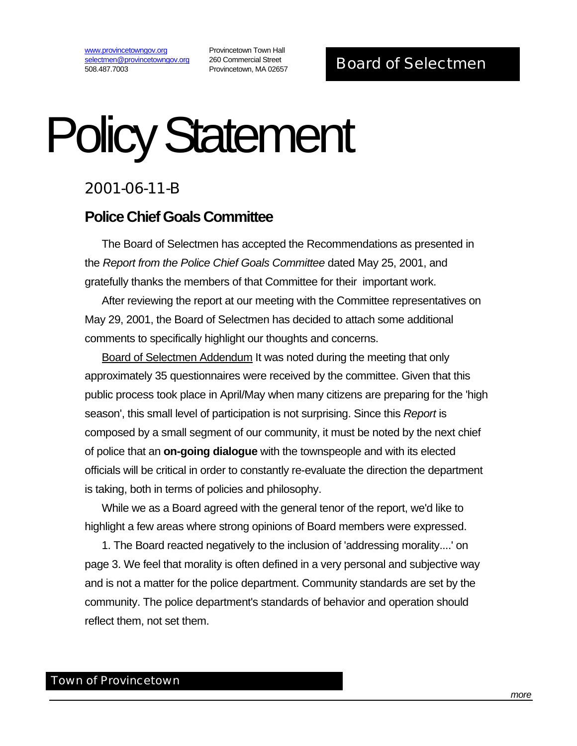www.provincetowngov.org selectmen@provincetowngov.org 508.487.7003

Provincetown Town Hall 260 Commercial Street

## Policy Statement

## 2001-06-11-B

## **Police Chief Goals Committee**

The Board of Selectmen has accepted the Recommendations as presented in the *Report from the Police Chief Goals Committee* dated May 25, 2001, and gratefully thanks the members of that Committee for their important work.

After reviewing the report at our meeting with the Committee representatives on May 29, 2001, the Board of Selectmen has decided to attach some additional comments to specifically highlight our thoughts and concerns.

Board of Selectmen Addendum It was noted during the meeting that only approximately 35 questionnaires were received by the committee. Given that this public process took place in April/May when many citizens are preparing for the 'high season', this small level of participation is not surprising. Since this *Report* is composed by a small segment of our community, it must be noted by the next chief of police that an **on-going dialogue** with the townspeople and with its elected officials will be critical in order to constantly re-evaluate the direction the department is taking, both in terms of policies and philosophy.

While we as a Board agreed with the general tenor of the report, we'd like to highlight a few areas where strong opinions of Board members were expressed.

1. The Board reacted negatively to the inclusion of 'addressing morality....' on page 3. We feel that morality is often defined in a very personal and subjective way and is not a matter for the police department. Community standards are set by the community. The police department's standards of behavior and operation should reflect them, not set them.